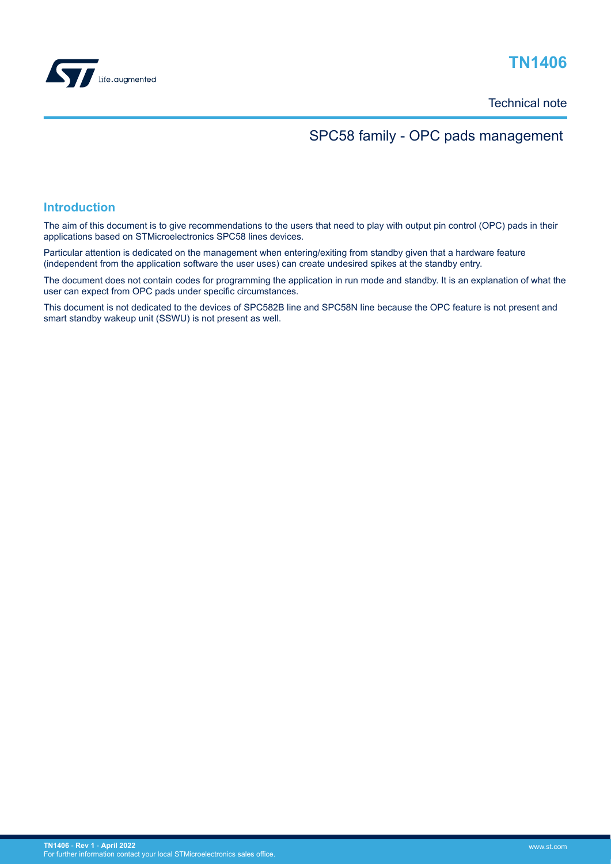

# **TN1406**

Technical note

## SPC58 family - OPC pads management

### **Introduction**

The aim of this document is to give recommendations to the users that need to play with output pin control (OPC) pads in their applications based on STMicroelectronics SPC58 lines devices.

Particular attention is dedicated on the management when entering/exiting from standby given that a hardware feature (independent from the application software the user uses) can create undesired spikes at the standby entry.

The document does not contain codes for programming the application in run mode and standby. It is an explanation of what the user can expect from OPC pads under specific circumstances.

This document is not dedicated to the devices of SPC582B line and SPC58N line because the OPC feature is not present and smart standby wakeup unit (SSWU) is not present as well.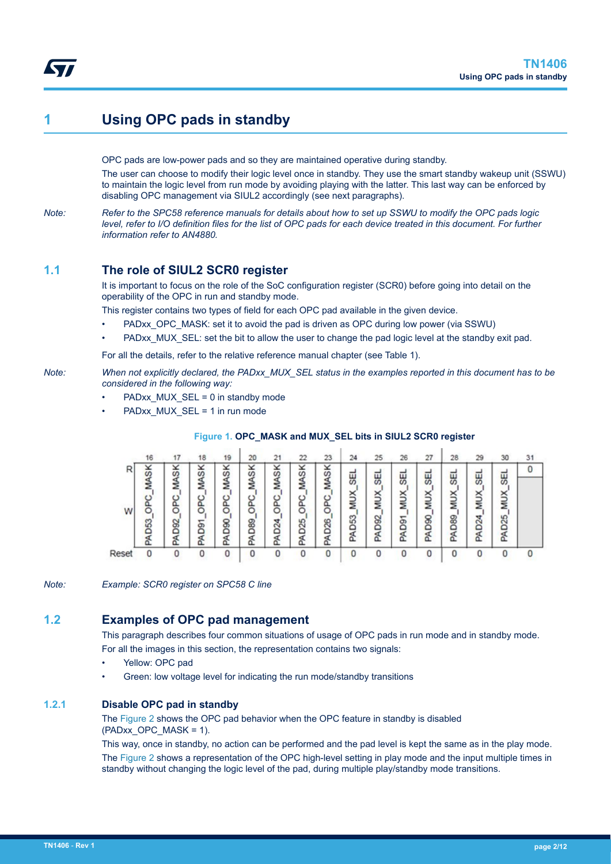## <span id="page-1-0"></span>**1 Using OPC pads in standby**

OPC pads are low-power pads and so they are maintained operative during standby.

The user can choose to modify their logic level once in standby. They use the smart standby wakeup unit (SSWU) to maintain the logic level from run mode by avoiding playing with the latter. This last way can be enforced by disabling OPC management via SIUL2 accordingly (see next paragraphs).

*Note: Refer to the SPC58 reference manuals for details about how to set up SSWU to modify the OPC pads logic level, refer to I/O definition files for the list of OPC pads for each device treated in this document. For further information refer to AN4880.*

## **1.1 The role of SIUL2 SCR0 register**

It is important to focus on the role of the SoC configuration register (SCR0) before going into detail on the operability of the OPC in run and standby mode.

This register contains two types of field for each OPC pad available in the given device.

- PADxx\_OPC\_MASK: set it to avoid the pad is driven as OPC during low power (via SSWU)
- PADxx MUX SEL: set the bit to allow the user to change the pad logic level at the standby exit pad.

For all the details, refer to the relative reference manual chapter (see Table 1).

*Note: When not explicitly declared, the PADxx\_MUX\_SEL status in the examples reported in this document has to be considered in the following way:*

- PADxx\_MUX\_SEL = 0 in standby mode
- PADxx\_MUX\_SEL = 1 in run mode

|        | 16                                                 | 17                                       | 18                                   | 19                                                 | 20                                  | 21                                             | 22                                                   | 23                                  | 24                          | 25                         | 26                             | 27                               | 28                             | 29                                                        | 30                           | 31 |
|--------|----------------------------------------------------|------------------------------------------|--------------------------------------|----------------------------------------------------|-------------------------------------|------------------------------------------------|------------------------------------------------------|-------------------------------------|-----------------------------|----------------------------|--------------------------------|----------------------------------|--------------------------------|-----------------------------------------------------------|------------------------------|----|
| R<br>W | ×<br>cn<br>₫<br>≅<br><b>PC</b><br>c<br>S<br>ă<br>Æ | ×<br>S<br>∢<br>z<br>ပ<br><b>D92</b><br>É | ×<br>S<br>∢<br>z<br>ပ<br>ග<br>۵<br>∢ | ×<br>S<br>∢<br>≅<br>ဥ<br>o<br>D <sub>90</sub><br>£ | ×<br>S<br>∢<br>z<br>OPC<br>D89<br>£ | ×<br>S<br>₫<br>≅<br>ပ<br>U<br>4<br>Ñ<br>۵<br>₫ | ×<br>S<br>∢<br>≊<br>PC.<br>ō<br>D <sub>25</sub><br>£ | ×<br>S<br>ব<br>≊<br>OPC<br>D26<br>á | 58<br>×<br>π<br>ន<br>٥<br>g | 띥<br>×<br>⋚<br>8<br>۵<br>£ | 띥<br>×<br>⋚<br><b>Pag</b><br>E | 9S<br>×<br>Ξ<br>8<br>۵<br>₫<br>Œ | 띥<br>×<br>⋚<br><b>B80</b><br>g | <b>GEL</b><br>×<br>⋚<br>D <sub>24</sub><br>R <sub>I</sub> | 59<br>×<br>⋚<br>25<br>۵<br>Æ | 0  |
| Reset  | 0                                                  |                                          | 0                                    | 0                                                  | 0                                   |                                                |                                                      | 0                                   | 0                           |                            | 0                              |                                  |                                | 0                                                         | 0                            | 0  |

#### **Figure 1. OPC\_MASK and MUX\_SEL bits in SIUL2 SCR0 register**

*Note: Example: SCR0 register on SPC58 C line*

## **1.2 Examples of OPC pad management**

This paragraph describes four common situations of usage of OPC pads in run mode and in standby mode. For all the images in this section, the representation contains two signals:

- Yellow: OPC pad
- Green: low voltage level for indicating the run mode/standby transitions

#### **1.2.1 Disable OPC pad in standby**

The [Figure 2](#page-2-0) shows the OPC pad behavior when the OPC feature in standby is disabled (PADxx\_OPC\_MASK = 1).

This way, once in standby, no action can be performed and the pad level is kept the same as in the play mode. The [Figure 2](#page-2-0) shows a representation of the OPC high-level setting in play mode and the input multiple times in standby without changing the logic level of the pad, during multiple play/standby mode transitions.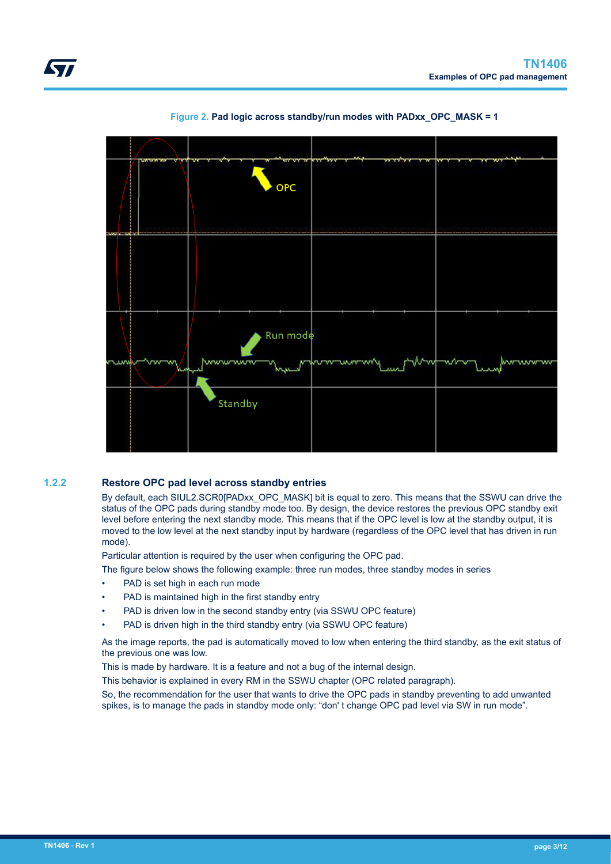<span id="page-2-0"></span>





#### **1.2.2 Restore OPC pad level across standby entries**

By default, each SIUL2.SCR0[PADxx\_OPC\_MASK] bit is equal to zero. This means that the SSWU can drive the status of the OPC pads during standby mode too. By design, the device restores the previous OPC standby exit level before entering the next standby mode. This means that if the OPC level is low at the standby output, it is moved to the low level at the next standby input by hardware (regardless of the OPC level that has driven in run mode).

Particular attention is required by the user when configuring the OPC pad.

The figure below shows the following example: three run modes, three standby modes in series

- PAD is set high in each run mode
- PAD is maintained high in the first standby entry
- PAD is driven low in the second standby entry (via SSWU OPC feature)
- PAD is driven high in the third standby entry (via SSWU OPC feature)

As the image reports, the pad is automatically moved to low when entering the third standby, as the exit status of the previous one was low.

This is made by hardware. It is a feature and not a bug of the internal design.

This behavior is explained in every RM in the SSWU chapter (OPC related paragraph).

So, the recommendation for the user that wants to drive the OPC pads in standby preventing to add unwanted spikes, is to manage the pads in standby mode only: "don' t change OPC pad level via SW in run mode".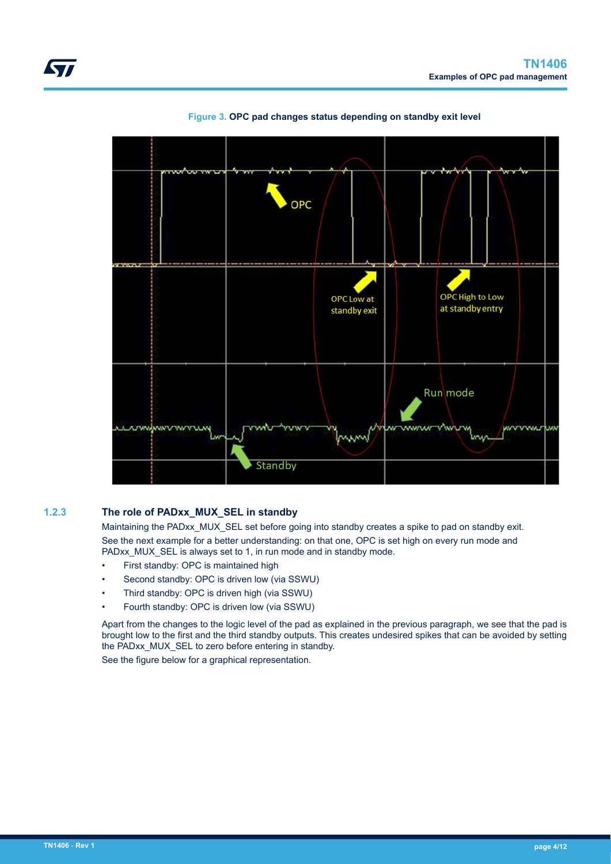<span id="page-3-0"></span>



#### **Figure 3. OPC pad changes status depending on standby exit level**

### **1.2.3 The role of PADxx\_MUX\_SEL in standby**

Maintaining the PADxx\_MUX\_SEL set before going into standby creates a spike to pad on standby exit. See the next example for a better understanding: on that one, OPC is set high on every run mode and PADxx\_MUX\_SEL is always set to 1, in run mode and in standby mode.

- First standby: OPC is maintained high
- Second standby: OPC is driven low (via SSWU)
- Third standby: OPC is driven high (via SSWU)
- Fourth standby: OPC is driven low (via SSWU)

Apart from the changes to the logic level of the pad as explained in the previous paragraph, we see that the pad is brought low to the first and the third standby outputs. This creates undesired spikes that can be avoided by setting the PADxx\_MUX\_SEL to zero before entering in standby.

See the figure below for a graphical representation.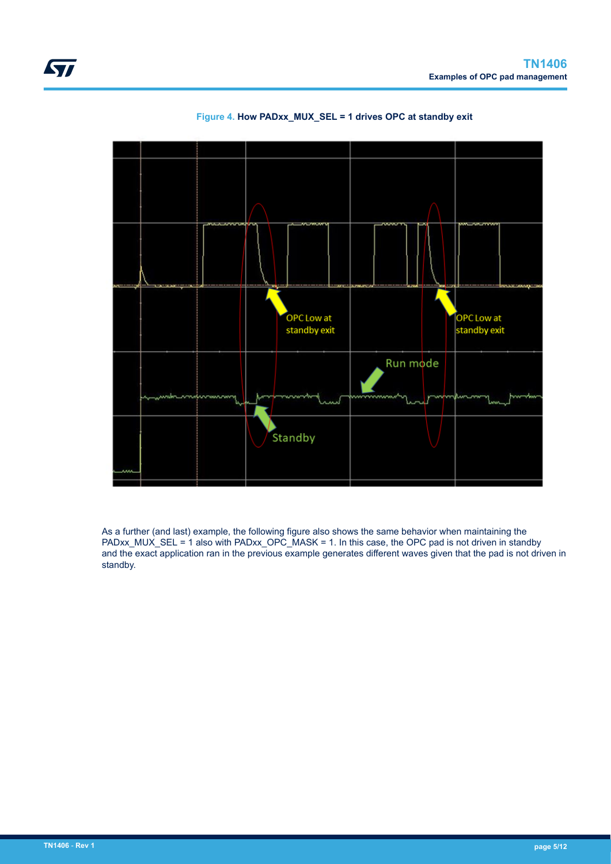<span id="page-4-0"></span>



#### **Figure 4. How PADxx\_MUX\_SEL = 1 drives OPC at standby exit**

As a further (and last) example, the following figure also shows the same behavior when maintaining the PADxx\_MUX\_SEL = 1 also with PADxx\_OPC\_MASK = 1. In this case, the OPC pad is not driven in standby and the exact application ran in the previous example generates different waves given that the pad is not driven in standby.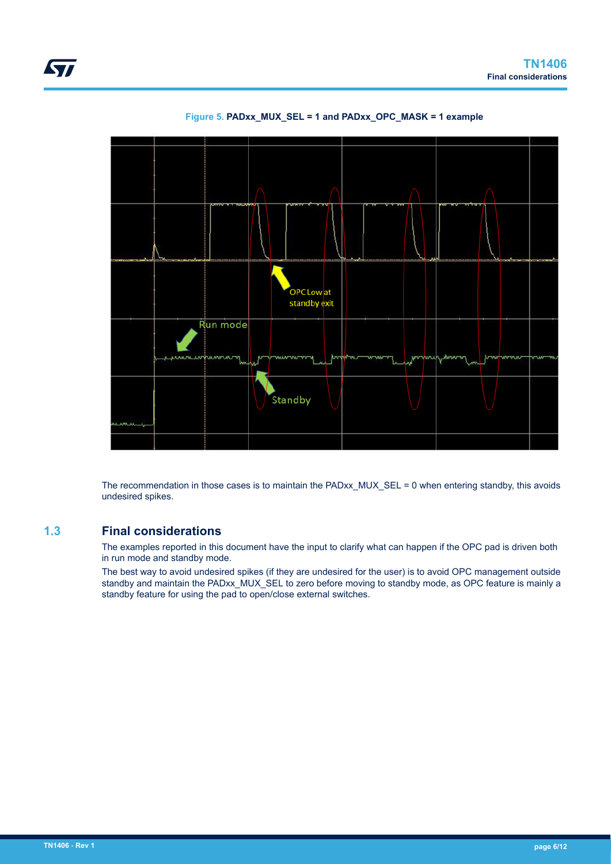



The recommendation in those cases is to maintain the PADxx\_MUX\_SEL = 0 when entering standby, this avoids undesired spikes.

### **1.3 Final considerations**

The examples reported in this document have the input to clarify what can happen if the OPC pad is driven both in run mode and standby mode.

The best way to avoid undesired spikes (if they are undesired for the user) is to avoid OPC management outside standby and maintain the PADxx\_MUX\_SEL to zero before moving to standby mode, as OPC feature is mainly a standby feature for using the pad to open/close external switches.

<span id="page-5-0"></span>*kyi*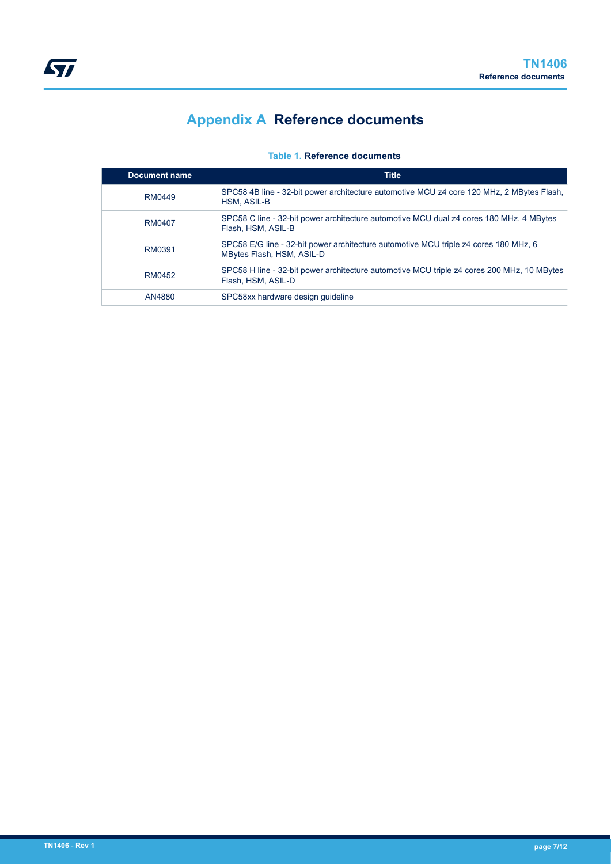# **Appendix A Reference documents**

### **Table 1. Reference documents**

<span id="page-6-0"></span>

| <b>Document name</b> | <b>Title</b>                                                                                                      |
|----------------------|-------------------------------------------------------------------------------------------------------------------|
| RM0449               | SPC58 4B line - 32-bit power architecture automotive MCU z4 core 120 MHz, 2 MBytes Flash,<br>HSM, ASIL-B          |
| RM0407               | SPC58 C line - 32-bit power architecture automotive MCU dual z4 cores 180 MHz, 4 MBytes<br>Flash, HSM, ASIL-B     |
| RM0391               | SPC58 E/G line - 32-bit power architecture automotive MCU triple z4 cores 180 MHz, 6<br>MBytes Flash, HSM, ASIL-D |
| RM0452               | SPC58 H line - 32-bit power architecture automotive MCU triple z4 cores 200 MHz, 10 MBytes<br>Flash, HSM, ASIL-D  |
| AN4880               | SPC58xx hardware design quideline                                                                                 |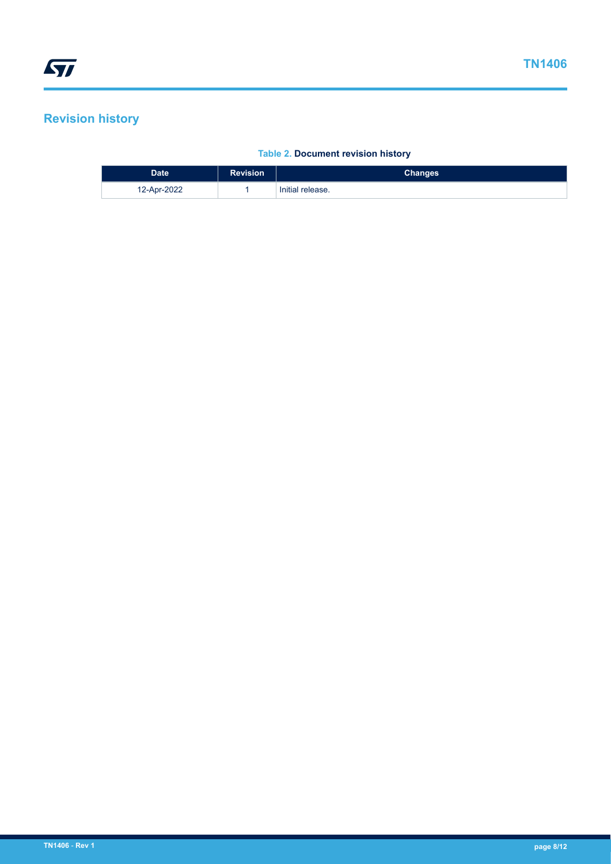## <span id="page-7-0"></span>**Revision history**

### **Table 2. Document revision history**

| <b>Date</b> | <b>Revision</b> | <b>Changes</b>   |
|-------------|-----------------|------------------|
| 12-Apr-2022 |                 | Initial release. |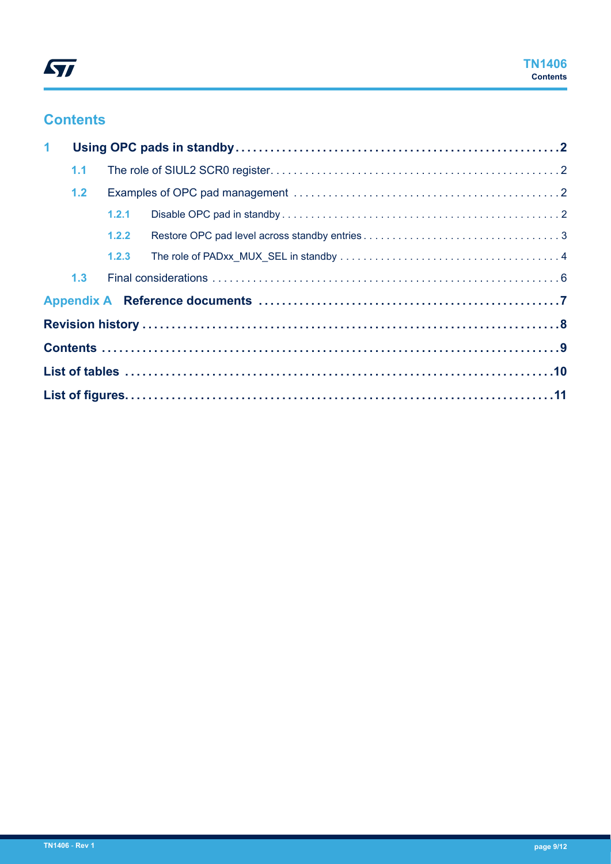## **Contents**

| $\mathbf{1}$ |     |       |  |  |  |  |  |  |  |
|--------------|-----|-------|--|--|--|--|--|--|--|
|              | 1.1 |       |  |  |  |  |  |  |  |
|              | 1.2 |       |  |  |  |  |  |  |  |
|              |     | 1.2.1 |  |  |  |  |  |  |  |
|              |     | 1.2.2 |  |  |  |  |  |  |  |
|              |     | 1.2.3 |  |  |  |  |  |  |  |
|              | 1.3 |       |  |  |  |  |  |  |  |
|              |     |       |  |  |  |  |  |  |  |
|              |     |       |  |  |  |  |  |  |  |
|              |     |       |  |  |  |  |  |  |  |
|              |     |       |  |  |  |  |  |  |  |
|              |     |       |  |  |  |  |  |  |  |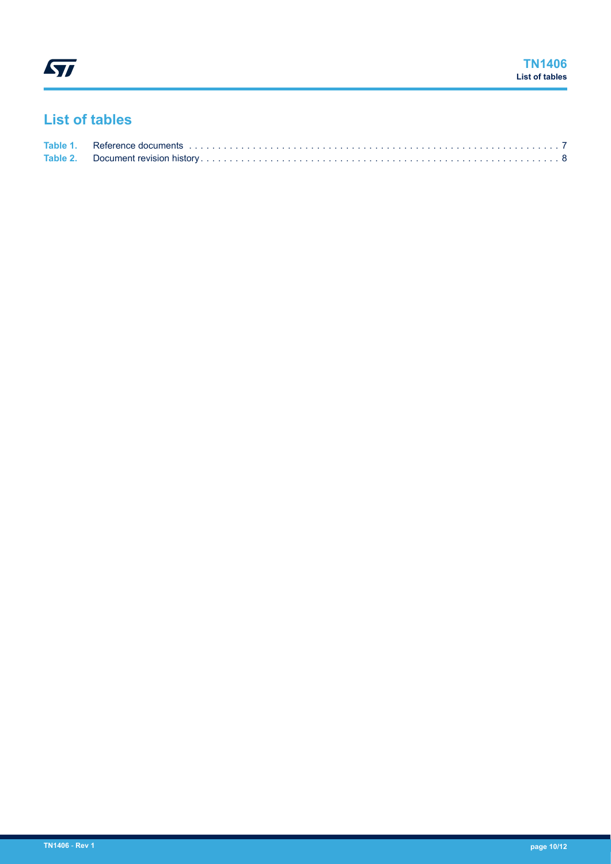## <span id="page-9-0"></span>**List of tables**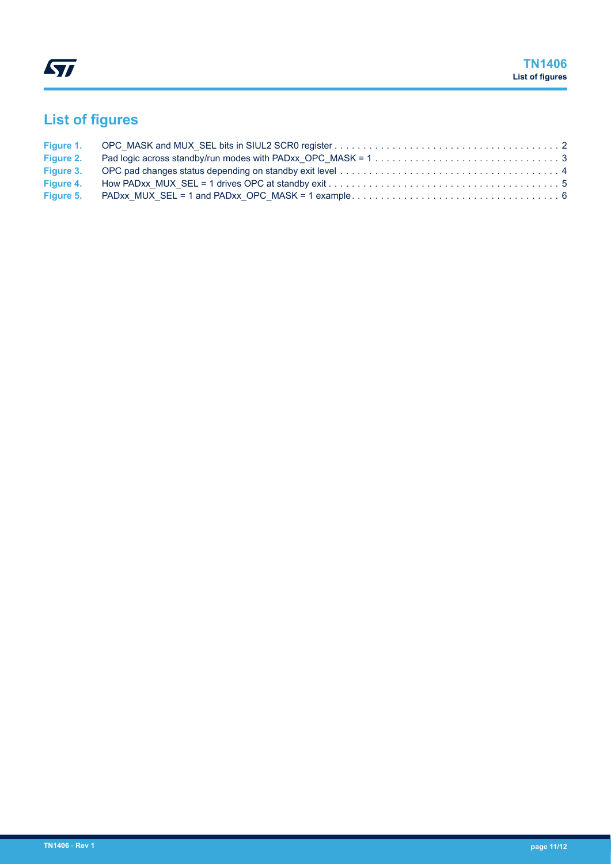# <span id="page-10-0"></span>**List of figures**